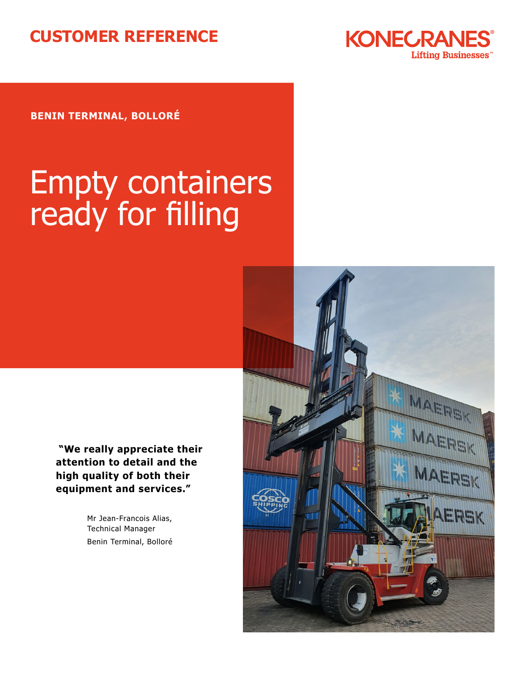## **CUSTOMER REFERENCE**



**BENIN TERMINAL, BOLLORÉ**

# Empty containers ready for filling



 **"We really appreciate their attention to detail and the high quality of both their equipment and services."**

> Mr Jean-Francois Alias, Technical Manager Benin Terminal, Bolloré